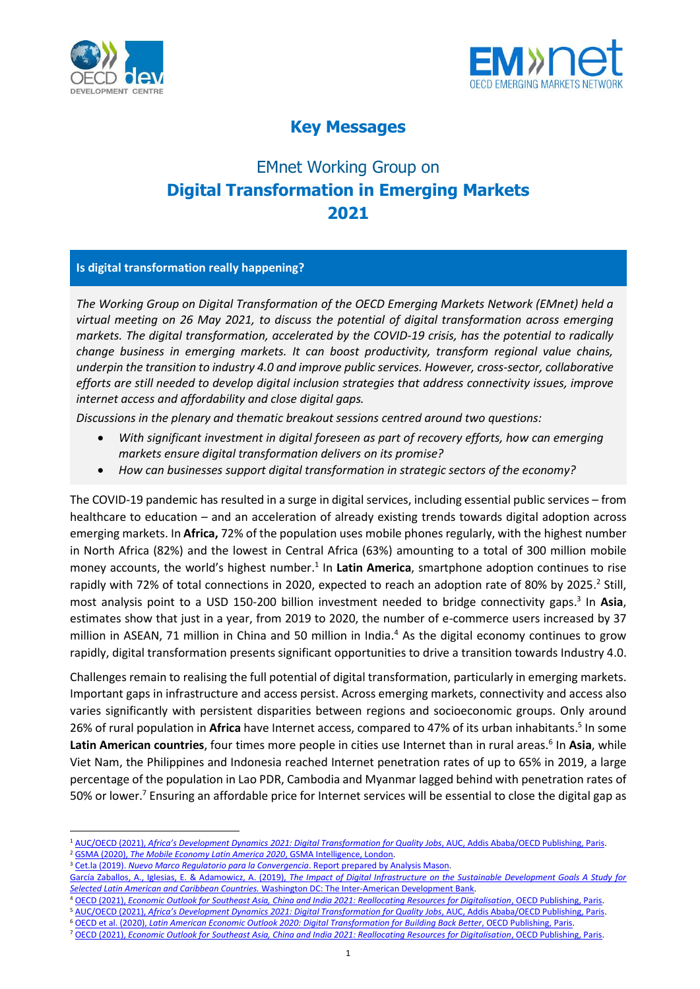



## **Key Messages**

## EMnet Working Group on **Digital Transformation in Emerging Markets 2021**

## **Is digital transformation really happening?**

*The Working Group on Digital Transformation of the OECD Emerging Markets Network (EMnet) held a virtual meeting on 26 May 2021, to discuss the potential of digital transformation across emerging markets. The digital transformation, accelerated by the COVID-19 crisis, has the potential to radically change business in emerging markets. It can boost productivity, transform regional value chains, underpin the transition to industry 4.0 and improve public services. However, cross-sector, collaborative efforts are still needed to develop digital inclusion strategies that address connectivity issues, improve internet access and affordability and close digital gaps.*

*Discussions in the plenary and thematic breakout sessions centred around two questions:*

- *With significant investment in digital foreseen as part of recovery efforts, how can emerging markets ensure digital transformation delivers on its promise?*
- *How can businesses support digital transformation in strategic sectors of the economy?*

The COVID-19 pandemic has resulted in a surge in digital services, including essential public services – from healthcare to education – and an acceleration of already existing trends towards digital adoption across emerging markets. In **Africa,** 72% of the population uses mobile phones regularly, with the highest number in North Africa (82%) and the lowest in Central Africa (63%) amounting to a total of 300 million mobile money accounts, the world's highest number.<sup>1</sup> In Latin America, smartphone adoption continues to rise rapidly with 72% of total connections in 2020, expected to reach an adoption rate of 80% by 2025.<sup>2</sup> Still, most analysis point to a USD 150-200 billion investment needed to bridge connectivity gaps. 3 In **Asia**, estimates show that just in a year, from 2019 to 2020, the number of e-commerce users increased by 37 million in ASEAN, 71 million in China and 50 million in India. <sup>4</sup> As the digital economy continues to grow rapidly, digital transformation presents significant opportunities to drive a transition towards Industry 4.0.

Challenges remain to realising the full potential of digital transformation, particularly in emerging markets. Important gaps in infrastructure and access persist. Across emerging markets, connectivity and access also varies significantly with persistent disparities between regions and socioeconomic groups. Only around 26% of rural population in **Africa** have Internet access, compared to 47% of its urban inhabitants. 5 In some Latin American countries, four times more people in cities use Internet than in rural areas.<sup>6</sup> In Asia, while Viet Nam, the Philippines and Indonesia reached Internet penetration rates of up to 65% in 2019, a large percentage of the population in Lao PDR, Cambodia and Myanmar lagged behind with penetration rates of 50% or lower.<sup>7</sup> Ensuring an affordable price for Internet services will be essential to close the digital gap as

<sup>6</sup> OECD et al. (2020), *[Latin American Economic Outlook 2020: Digital Transformation for Building Back Better](https://doi.org/10.1787/e6e864fb-en)*, OECD Publishing, Paris.

<sup>1</sup> AUC/OECD (2021), *[Africa's Development Dynamics 2021: Digital Transformation for Quality Jobs](https://doi.org/10.1787/0a5c9314-en)*, AUC, Addis Ababa/OECD Publishing, Paris. <sup>2</sup> GSMA (2020), [The Mobile Economy Latin America 2020](https://www.gsma.com/mobileeconomy/wp-content/uploads/2020/12/GSMA_MobileEconomy2020_LATAM_Eng.pdf), GSMA Intelligence, London.

<sup>&</sup>lt;sup>3</sup> Cet.la (2019). *[Nuevo Marco Regulatorio para la Convergencia](https://cet.la/estudios/cet-la/nuevo-marco-regulatorio-para-la-convergencia/)*. Report prepared by Analysis Mason.

García Zaballos, A., Iglesias, E. & Adamowicz, A. (2019), *[The Impact of Digital Infrastructure on the Sustainable Development Goals A Study for](http://dx.doi.org/10.18235/0001685)  Selected Latin American and Caribbean Countries.* [Washington DC: The Inter-American Development Bank.](http://dx.doi.org/10.18235/0001685)

<sup>4</sup> OECD (2021), *[Economic Outlook for Southeast Asia, China and India 2021: Reallocating Resources for Digitalisation](https://doi.org/10.1787/711629f8-en)*, OECD Publishing, Paris.

<sup>5</sup> AUC/OECD (2021), *Afr[ica's Development Dynamics 2021: Digital Transformation for Quality Jobs](https://doi.org/10.1787/0a5c9314-en)*, AUC, Addis Ababa/OECD Publishing, Paris.

<sup>7</sup> OECD (2021), *[Economic Outlook for Southeast Asia, China and India 2021: Reallocating Resources for Digitalisation](https://doi.org/10.1787/711629f8-en)*, OECD Publishing, Paris.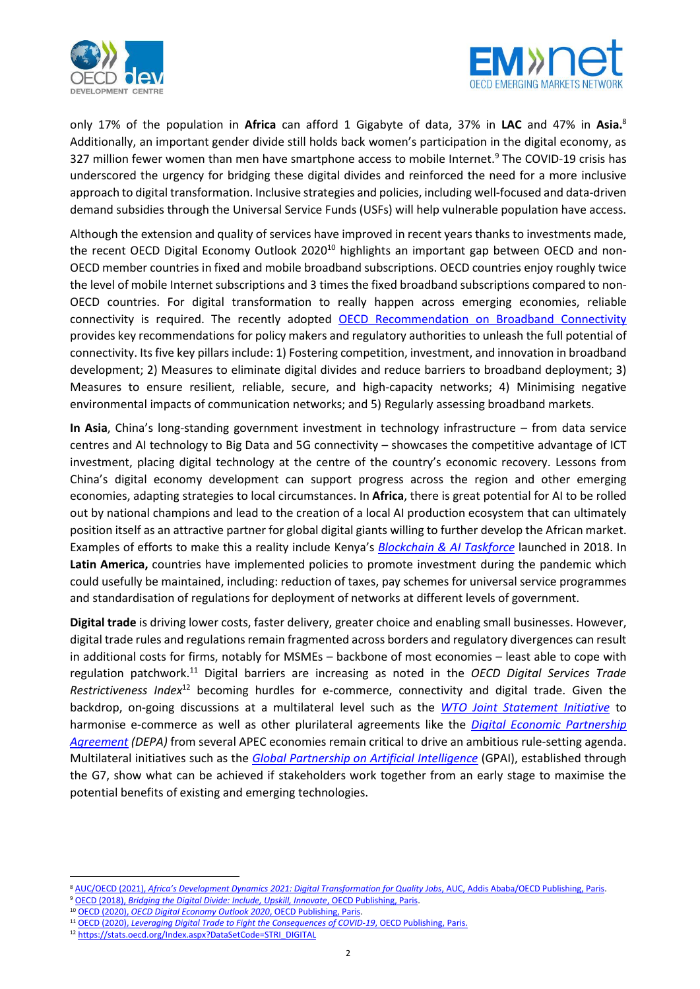



only 17% of the population in **Africa** can afford 1 Gigabyte of data, 37% in **LAC** and 47% in **Asia.** 8 Additionally, an important gender divide still holds back women's participation in the digital economy, as 327 million fewer women than men have smartphone access to mobile Internet.<sup>9</sup> The COVID-19 crisis has underscored the urgency for bridging these digital divides and reinforced the need for a more inclusive approach to digital transformation. Inclusive strategies and policies, including well-focused and data-driven demand subsidies through the Universal Service Funds (USFs) will help vulnerable population have access.

Although the extension and quality of services have improved in recent years thanks to investments made, the recent OECD Digital Economy Outlook 2020<sup>10</sup> highlights an important gap between OECD and non-OECD member countries in fixed and mobile broadband subscriptions. OECD countries enjoy roughly twice the level of mobile Internet subscriptions and 3 times the fixed broadband subscriptions compared to non-OECD countries. For digital transformation to really happen across emerging economies, reliable connectivity is required. The recently adopted [OECD Recommendation on Broadband Connectivity](https://legalinstruments.oecd.org/en/instruments/OECD-LEGAL-0322) provides key recommendations for policy makers and regulatory authorities to unleash the full potential of connectivity. Its five key pillars include: 1) Fostering competition, investment, and innovation in broadband development; 2) Measures to eliminate digital divides and reduce barriers to broadband deployment; 3) Measures to ensure resilient, reliable, secure, and high-capacity networks; 4) Minimising negative environmental impacts of communication networks; and 5) Regularly assessing broadband markets.

**In Asia**, China's long-standing government investment in technology infrastructure – from data service centres and AI technology to Big Data and 5G connectivity – showcases the competitive advantage of ICT investment, placing digital technology at the centre of the country's economic recovery. Lessons from China's digital economy development can support progress across the region and other emerging economies, adapting strategies to local circumstances. In **Africa**, there is great potential for AI to be rolled out by national champions and lead to the creation of a local AI production ecosystem that can ultimately position itself as an attractive partner for global digital giants willing to further develop the African market. Examples of efforts to make this a reality include Kenya's *[Blockchain & AI Taskforce](https://www.ict.go.ke/blockchain.pdf)* launched in 2018. In **Latin America,** countries have implemented policies to promote investment during the pandemic which could usefully be maintained, including: reduction of taxes, pay schemes for universal service programmes and standardisation of regulations for deployment of networks at different levels of government.

**Digital trade** is driving lower costs, faster delivery, greater choice and enabling small businesses. However, digital trade rules and regulations remain fragmented across borders and regulatory divergences can result in additional costs for firms, notably for MSMEs – backbone of most economies – least able to cope with regulation patchwork. <sup>11</sup> Digital barriers are increasing as noted in the *OECD Digital Services Trade Restrictiveness Index*<sup>12</sup> becoming hurdles for e-commerce, connectivity and digital trade. Given the backdrop, on-going discussions at a multilateral level such as the *[WTO Joint Statement Initiative](https://www.wto.org/english/news_e/archive_e/jsec_arc_e.htm)* to harmonise e-commerce as well as other plurilateral agreements like the *[Digital Economic Partnership](https://www.mti.gov.sg/Improving-Trade/Digital-Economy-Agreements/The-Digital-Economy-Partnership-Agreement)  [Agreement](https://www.mti.gov.sg/Improving-Trade/Digital-Economy-Agreements/The-Digital-Economy-Partnership-Agreement) (DEPA)* from several APEC economies remain critical to drive an ambitious rule-setting agenda. Multilateral initiatives such as the *[Global Partnership on](https://gpai.ai/) Artificial Intelligence* (GPAI), established through the G7, show what can be achieved if stakeholders work together from an early stage to maximise the potential benefits of existing and emerging technologies.

 $\overline{a}$ 

<sup>8</sup> AUC/OECD (2021), *[Africa's Development Dynamics 2021: Digital Transformation for Quality Jobs](https://doi.org/10.1787/0a5c9314-en)*, AUC, Addis Ababa/OECD Publishing, Paris.

<sup>9</sup> OECD (2018), *[Bridging the Digital Divide: Include, Upskill, Innovate](http://www.oecd.org/going-digital/bridging-the-digital-gender-divide.pdf)*, OECD Publishing, Paris.

<sup>10</sup> OECD (2020), *[OECD Digital Economy Outlook 2020](https://doi.org/10.1787/bb167041-en)*, OECD Publishing, Paris.

<sup>11</sup> OECD (2020), *[Leveraging Digital Trade to Fight the Consequences](https://read.oecd-ilibrary.org/view/?ref=135_135517-02bikxyksj&title=Leveraging-Digital-Trade-to-Fight-the-Consequences-of-COVID-19&_ga=2.206530778.850423106.1622495200-881976545.1613301869) of COVID-19*, OECD Publishing, Paris.

<sup>12</sup> [https://stats.oecd.org/Index.aspx?DataSetCode=STRI\\_DIGITAL](https://stats.oecd.org/Index.aspx?DataSetCode=STRI_DIGITAL)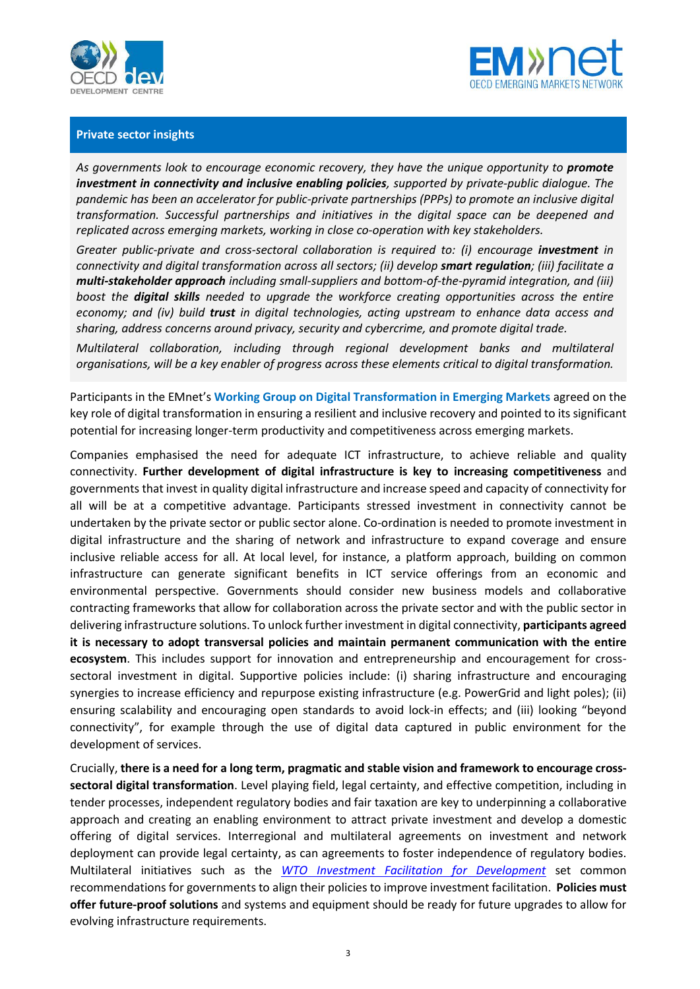



## **Private sector insights**

As governments look to encourage economic recovery, they have the unique opportunity to **promote** *investment in connectivity and inclusive enabling policies, supported by private-public dialogue. The pandemic has been an accelerator for public-private partnerships (PPPs) to promote an inclusive digital transformation. Successful partnerships and initiatives in the digital space can be deepened and replicated across emerging markets, working in close co-operation with key stakeholders.*

*Greater public-private and cross-sectoral collaboration is required to: (i) encourage investment in connectivity and digital transformation across all sectors; (ii) develop smart regulation; (iii) facilitate a multi-stakeholder approach including small-suppliers and bottom-of-the-pyramid integration, and (iii) boost the digital skills needed to upgrade the workforce creating opportunities across the entire economy; and (iv) build trust in digital technologies, acting upstream to enhance data access and sharing, address concerns around privacy, security and cybercrime, and promote digital trade.* 

*Multilateral collaboration, including through regional development banks and multilateral organisations, will be a key enabler of progress across these elements critical to digital transformation.*

Participants in the EMnet's **Working Group on Digital Transformation in Emerging Markets** agreed on the key role of digital transformation in ensuring a resilient and inclusive recovery and pointed to its significant potential for increasing longer-term productivity and competitiveness across emerging markets.

Companies emphasised the need for adequate ICT infrastructure, to achieve reliable and quality connectivity. **Further development of digital infrastructure is key to increasing competitiveness** and governments that invest in quality digital infrastructure and increase speed and capacity of connectivity for all will be at a competitive advantage. Participants stressed investment in connectivity cannot be undertaken by the private sector or public sector alone. Co-ordination is needed to promote investment in digital infrastructure and the sharing of network and infrastructure to expand coverage and ensure inclusive reliable access for all. At local level, for instance, a platform approach, building on common infrastructure can generate significant benefits in ICT service offerings from an economic and environmental perspective. Governments should consider new business models and collaborative contracting frameworks that allow for collaboration across the private sector and with the public sector in delivering infrastructure solutions. To unlock further investment in digital connectivity, **participants agreed it is necessary to adopt transversal policies and maintain permanent communication with the entire ecosystem**. This includes support for innovation and entrepreneurship and encouragement for crosssectoral investment in digital. Supportive policies include: (i) sharing infrastructure and encouraging synergies to increase efficiency and repurpose existing infrastructure (e.g. PowerGrid and light poles); (ii) ensuring scalability and encouraging open standards to avoid lock-in effects; and (iii) looking "beyond connectivity", for example through the use of digital data captured in public environment for the development of services.

Crucially, **there is a need for a long term, pragmatic and stable vision and framework to encourage crosssectoral digital transformation**. Level playing field, legal certainty, and effective competition, including in tender processes, independent regulatory bodies and fair taxation are key to underpinning a collaborative approach and creating an enabling environment to attract private investment and develop a domestic offering of digital services. Interregional and multilateral agreements on investment and network deployment can provide legal certainty, as can agreements to foster independence of regulatory bodies. Multilateral initiatives such as the *WTO [Investment Facilitation for Development](https://www.wto.org/english/news_e/archive_e/infac_arc_e.htm)* set common recommendations for governments to align their policies to improve investment facilitation. **Policies must offer future-proof solutions** and systems and equipment should be ready for future upgrades to allow for evolving infrastructure requirements.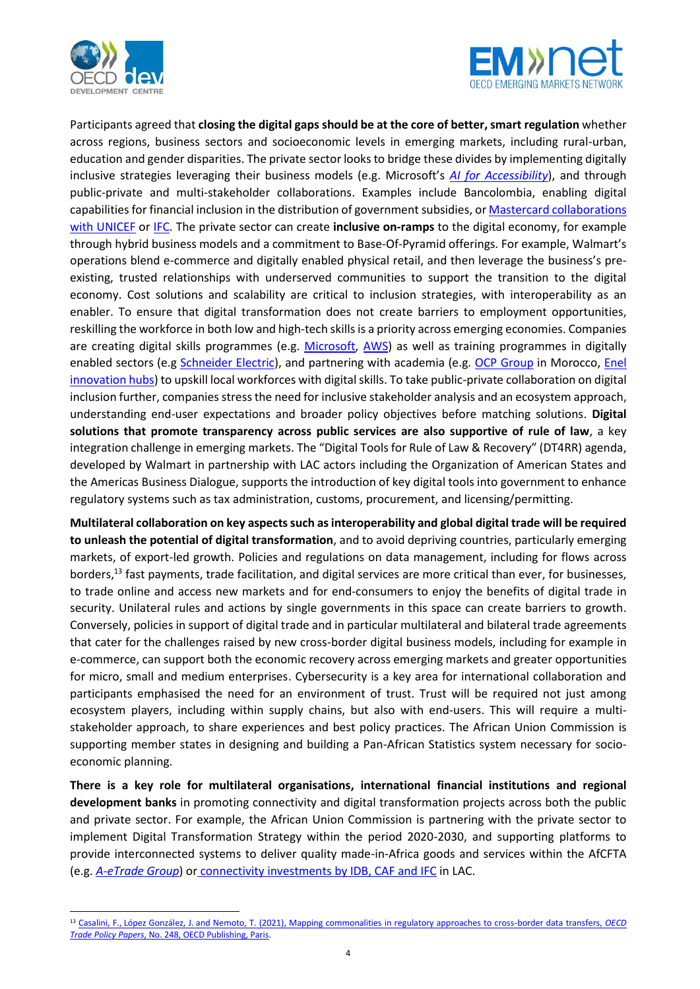

 $\overline{a}$ 



Participants agreed that **closing the digital gaps should be at the core of better,smart regulation** whether across regions, business sectors and socioeconomic levels in emerging markets, including rural-urban, education and gender disparities. The private sector looks to bridge these divides by implementing digitally inclusive strategies leveraging their business models (e.g. Microsoft's *[AI for Accessibility](https://www.microsoft.com/en-us/ai/ai-for-accessibility)*), and through public-private and multi-stakeholder collaborations. Examples include Bancolombia, enabling digital capabilities for financial inclusion in the distribution of government subsidies, or Mastercard collaborations [with UNICEF](https://www.mastercardcenter.org/insights/how-mobile-payments-can-help-keep-children-in-schoo) or [IFC.](https://www.ifc.org/wps/wcm/connect/96a4f610-62b1-4830-8516-f11642cfeafd/201805_Digital-Access_The-Future-of-Financial-Inclusion-in-Africa_v1.pdf?MOD=AJPERES&CVID=mdz-QF0) The private sector can create **inclusive on-ramps** to the digital economy, for example through hybrid business models and a commitment to Base-Of-Pyramid offerings. For example, Walmart's operations blend e-commerce and digitally enabled physical retail, and then leverage the business's preexisting, trusted relationships with underserved communities to support the transition to the digital economy. Cost solutions and scalability are critical to inclusion strategies, with interoperability as an enabler. To ensure that digital transformation does not create barriers to employment opportunities, reskilling the workforce in both low and high-tech skillsis a priority across emerging economies. Companies are creating digital skills programmes (e.g. [Microsoft,](https://www.microsoft.com/en-in/campaign/GlobalSkillingInitiative/) [AWS\)](https://aws.amazon.com/training/digital/) as well as training programmes in digitally enabled sectors (e.g [Schneider Electric\)](https://www.se.com/ww/en/work/services/field-services/electrical-distribution/operate/training/), and partnering with academia (e.g. [OCP Group](https://careers.ocpgroup.ma/en/careers/our-engagement/growing-together/mohammed-vi-polytechnic-university) in Morocco, Enel [innovation hubs\)](https://startup.enel.com/en/innovation-hub.html) to upskill local workforces with digital skills. To take public-private collaboration on digital inclusion further, companies stress the need for inclusive stakeholder analysis and an ecosystem approach, understanding end-user expectations and broader policy objectives before matching solutions. **Digital solutions that promote transparency across public services are also supportive of rule of law**, a key integration challenge in emerging markets. The "Digital Tools for Rule of Law & Recovery" (DT4RR) agenda, developed by Walmart in partnership with LAC actors including the Organization of American States and the Americas Business Dialogue, supports the introduction of key digital tools into government to enhance regulatory systems such as tax administration, customs, procurement, and licensing/permitting.

**Multilateral collaboration on key aspects such as interoperability and global digital trade will be required to unleash the potential of digital transformation**, and to avoid depriving countries, particularly emerging markets, of export-led growth. Policies and regulations on data management, including for flows across borders, <sup>13</sup> fast payments, trade facilitation, and digital services are more critical than ever, for businesses, to trade online and access new markets and for end-consumers to enjoy the benefits of digital trade in security. Unilateral rules and actions by single governments in this space can create barriers to growth. Conversely, policies in support of digital trade and in particular multilateral and bilateral trade agreements that cater for the challenges raised by new cross-border digital business models, including for example in e-commerce, can support both the economic recovery across emerging markets and greater opportunities for micro, small and medium enterprises. Cybersecurity is a key area for international collaboration and participants emphasised the need for an environment of trust. Trust will be required not just among ecosystem players, including within supply chains, but also with end-users. This will require a multistakeholder approach, to share experiences and best policy practices. The African Union Commission is supporting member states in designing and building a Pan-African Statistics system necessary for socioeconomic planning.

**There is a key role for multilateral organisations, international financial institutions and regional development banks** in promoting connectivity and digital transformation projects across both the public and private sector. For example, the African Union Commission is partnering with the private sector to implement Digital Transformation Strategy within the period 2020-2030, and supporting platforms to provide interconnected systems to deliver quality made-in-Africa goods and services within the AfCFTA (e.g. *[A-eTrade Group](https://www.aetradegroup.com/)*) or [connectivity investments by IDB, CAF and IFC](https://www.bnamericas.com/en/features/latams-main-ict-initiatives-backed-by-multilaterals) in LAC.

<sup>13</sup> Casalini, F., López González, J. [and Nemoto, T. \(2021\), Mapping commonalities in regulatory approaches to cross-border data transfers,](https://doi.org/10.1787/ca9f974e-en) *OECD Trade Policy Papers*[, No. 248, OECD Publishing, Paris.](https://doi.org/10.1787/ca9f974e-en)